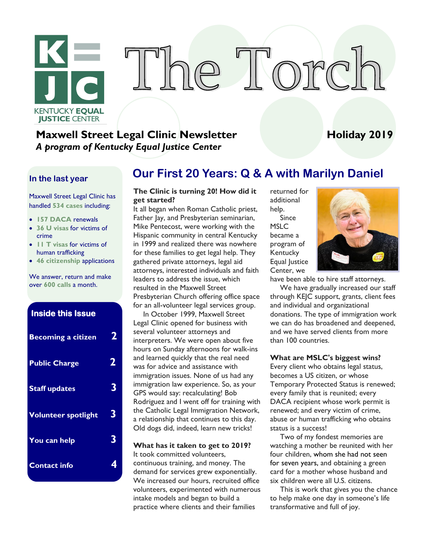

# The Torc

#### **Maxwell Street Legal Clinic Newsletter 1999 12:2019 Holiday 2019** *A program of Kentucky Equal Justice Center*

#### **In the last year**

Maxwell Street Legal Clinic has handled **534 cases** including:

- **157 DACA** renewals
- **36 U visas** for victims of crime
- **11 T visas** for victims of human trafficking
- **46 citizenship** applications

We answer, return and make over **600 calls** a month.

| <b>Inside this Issue</b>   |   |
|----------------------------|---|
| <b>Becoming a citizen</b>  | 2 |
| <b>Public Charge</b>       | 2 |
| <b>Staff updates</b>       | 3 |
| <b>Volunteer spotlight</b> | 3 |
| You can help               | 3 |
| <b>Contact info</b>        | 4 |

#### **Our First 20 Years: Q & A with Marilyn Daniel**

#### **The Clinic is turning 20! How did it get started?**

It all began when Roman Catholic priest, Father Jay, and Presbyterian seminarian, Mike Pentecost, were working with the Hispanic community in central Kentucky in 1999 and realized there was nowhere for these families to get legal help. They gathered private attorneys, legal aid attorneys, interested individuals and faith leaders to address the issue, which resulted in the Maxwell Street Presbyterian Church offering office space for an all-volunteer legal services group.

In October 1999, Maxwell Street Legal Clinic opened for business with several volunteer attorneys and interpreters. We were open about five hours on Sunday afternoons for walk-ins and learned quickly that the real need was for advice and assistance with immigration issues. None of us had any immigration law experience. So, as your GPS would say: recalculating! Bob Rodriguez and I went off for training with the Catholic Legal Immigration Network, a relationship that continues to this day. Old dogs did, indeed, learn new tricks!

**What has it taken to get to 2019?** It took committed volunteers, continuous training, and money. The demand for services grew exponentially. We increased our hours, recruited office volunteers, experimented with numerous intake models and began to build a practice where clients and their families

returned for additional help. Since MSLC became a program of **Kentucky** Equal Justice Center, we



have been able to hire staff attorneys.

We have gradually increased our staff through KEJC support, grants, client fees and individual and organizational donations. The type of immigration work we can do has broadened and deepened, and we have served clients from more than 100 countries.

#### **What are MSLC's biggest wins?**

Every client who obtains legal status, becomes a US citizen, or whose Temporary Protected Status is renewed; every family that is reunited; every DACA recipient whose work permit is renewed; and every victim of crime, abuse or human trafficking who obtains status is a success!

Two of my fondest memories are watching a mother be reunited with her four children, whom she had not seen for seven years, and obtaining a green card for a mother whose husband and six children were all U.S. citizens.

This is work that gives you the chance to help make one day in someone's life transformative and full of joy.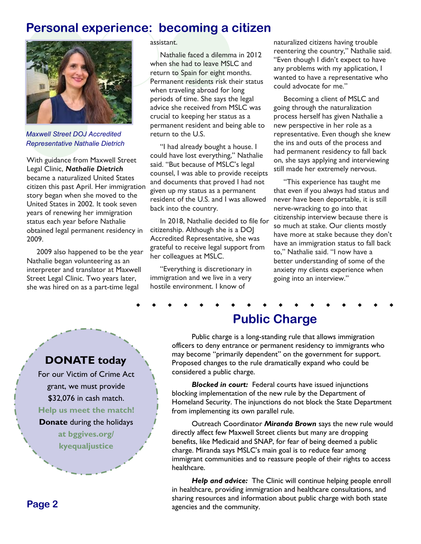#### **Personal experience: becoming a citizen**



*Maxwell Street DOJ Accredited Representative Nathalie Dietrich*

With guidance from Maxwell Street Legal Clinic, *Nathalie Dietrich*  became a naturalized United States citizen this past April. Her immigration story began when she moved to the United States in 2002. It took seven years of renewing her immigration status each year before Nathalie obtained legal permanent residency in 2009.

2009 also happened to be the year Nathalie began volunteering as an interpreter and translator at Maxwell Street Legal Clinic. Two years later, she was hired on as a part-time legal

#### assistant.

Nathalie faced a dilemma in 2012 when she had to leave MSLC and return to Spain for eight months. Permanent residents risk their status when traveling abroad for long periods of time. She says the legal advice she received from MSLC was crucial to keeping her status as a permanent resident and being able to return to the U.S.

"I had already bought a house. I could have lost everything," Nathalie said. "But because of MSLC's legal counsel, I was able to provide receipts and documents that proved I had not given up my status as a permanent resident of the U.S. and I was allowed back into the country.

In 2018, Nathalie decided to file for citizenship. Although she is a DOJ Accredited Representative, she was grateful to receive legal support from her colleagues at MSLC.

"Everything is discretionary in immigration and we live in a very hostile environment. I know of

naturalized citizens having trouble reentering the country," Nathalie said. "Even though I didn't expect to have any problems with my application, I wanted to have a representative who could advocate for me."

Becoming a client of MSLC and going through the naturalization process herself has given Nathalie a new perspective in her role as a representative. Even though she knew the ins and outs of the process and had permanent residency to fall back on, she says applying and interviewing still made her extremely nervous.

"This experience has taught me that even if you always had status and never have been deportable, it is still nerve-wracking to go into that citizenship interview because there is so much at stake. Our clients mostly have more at stake because they don't have an immigration status to fall back to," Nathalie said. "I now have a better understanding of some of the anxiety my clients experience when going into an interview."

#### **Public Charge**

Public charge is a long-standing rule that allows immigration officers to deny entrance or permanent residency to immigrants who may become "primarily dependent" on the government for support. Proposed changes to the rule dramatically expand who could be considered a public charge.

*Blocked in court:* Federal courts have issued injunctions blocking implementation of the new rule by the Department of Homeland Security. The injunctions do not block the State Department from implementing its own parallel rule.

Outreach Coordinator *Miranda Brown* says the new rule would directly affect few Maxwell Street clients but many are dropping benefits, like Medicaid and SNAP, for fear of being deemed a public charge. Miranda says MSLC's main goal is to reduce fear among immigrant communities and to reassure people of their rights to access healthcare.

**Help and advice:** The Clinic will continue helping people enroll in healthcare, providing immigration and healthcare consultations, and sharing resources and information about public charge with both state agencies and the community.

#### **DONATE today**

For our Victim of Crime Act grant, we must provide \$32,076 in cash match. **Help us meet the match! Donate** during the holidays **at bggives.org/ kyequaljustice**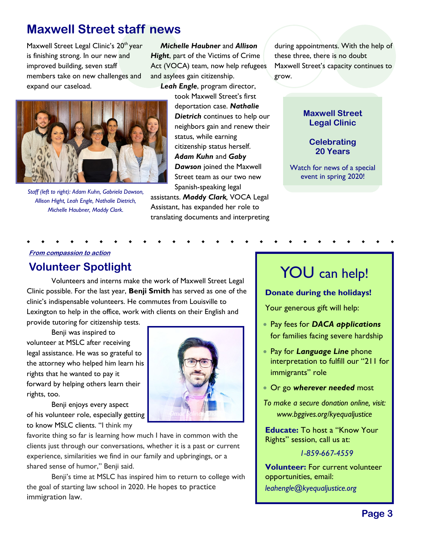#### **Maxwell Street staff news**

Maxwell Street Legal Clinic's 20<sup>th</sup> year is finishing strong. In our new and improved building, seven staff members take on new challenges and expand our caseload.

*Michelle Haubner* and *Allison Hight*, part of the Victims of Crime Act (VOCA) team, now help refugees and asylees gain citizenship.

*Leah Engle*, program director,



*Staff (left to right): Adam Kuhn, Gabriela Dawson, Allison Hight, Leah Engle, Nathalie Dietrich, Michelle Haubner, Maddy Clark.* 

took Maxwell Street's first deportation case. *Nathalie Dietrich* continues to help our neighbors gain and renew their status, while earning citizenship status herself. *Adam Kuhn* and *Gaby Dawson* joined the Maxwell Street team as our two new Spanish-speaking legal

assistants. *Maddy Clark,* VOCA Legal Assistant, has expanded her role to translating documents and interpreting

during appointments. With the help of these three, there is no doubt Maxwell Street's capacity continues to grow.

#### **Maxwell Street Legal Clinic**

#### **Celebrating 20 Years**

Watch for news of a special event in spring 2020!

#### **From compassion to action**

#### **Volunteer Spotlight**

Volunteers and interns make the work of Maxwell Street Legal Clinic possible. For the last year, **Benji Smith** has served as one of the clinic's indispensable volunteers. He commutes from Louisville to Lexington to help in the office, work with clients on their English and

provide tutoring for citizenship tests.

Benji was inspired to volunteer at MSLC after receiving legal assistance. He was so grateful to the attorney who helped him learn his rights that he wanted to pay it forward by helping others learn their rights, too.

Benji enjoys every aspect of his volunteer role, especially getting to know MSLC clients. "I think my



favorite thing so far is learning how much I have in common with the clients just through our conversations, whether it is a past or current experience, similarities we find in our family and upbringings, or a shared sense of humor," Benji said.

Benji's time at MSLC has inspired him to return to college with the goal of starting law school in 2020. He hopes to practice immigration law.

### YOU can help!

#### **Donate during the holidays!**

Your generous gift will help:

- Pay fees for *DACA applications*  for families facing severe hardship
- Pay for *Language Line* phone interpretation to fulfill our "211 for immigrants" role
- Or go *wherever needed* most
- *To make a secure donation online, visit: www.bggives.org/kyequaljustice*

**Educate:** To host a "Know Your Rights" session, call us at:

*1-859-667-4559*

**Volunteer:** For current volunteer opportunities, email: *leahengle@kyequaljustice.org*